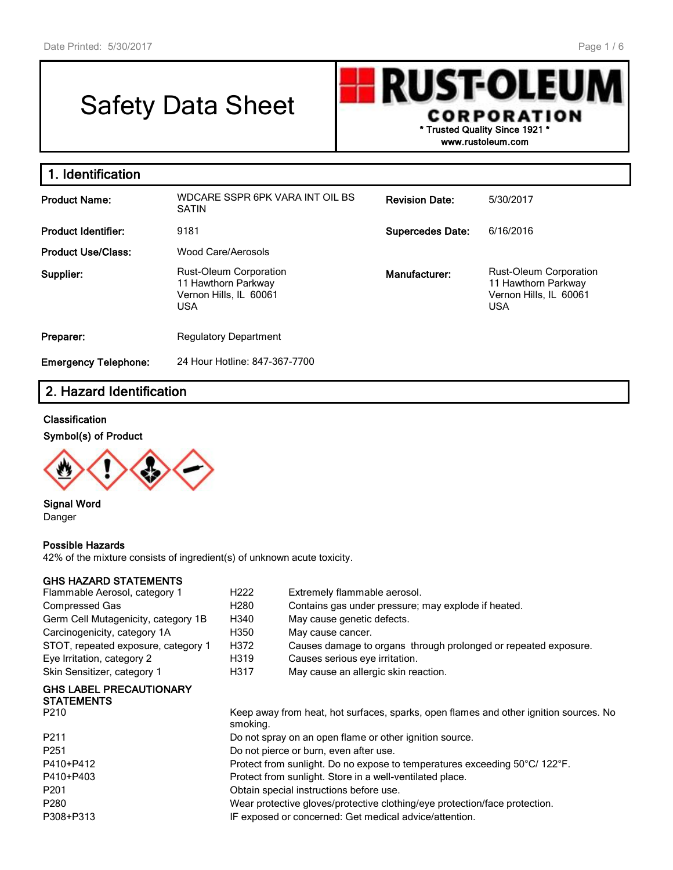# Safety Data Sheet



**www.rustoleum.com**

| 1. Identification           |                                                                                       |                         |                                                                                              |  |
|-----------------------------|---------------------------------------------------------------------------------------|-------------------------|----------------------------------------------------------------------------------------------|--|
| <b>Product Name:</b>        | WDCARE SSPR 6PK VARA INT OIL BS<br><b>SATIN</b>                                       | <b>Revision Date:</b>   | 5/30/2017                                                                                    |  |
| <b>Product Identifier:</b>  | 9181                                                                                  | <b>Supercedes Date:</b> | 6/16/2016                                                                                    |  |
| <b>Product Use/Class:</b>   | Wood Care/Aerosols                                                                    |                         |                                                                                              |  |
| Supplier:                   | Rust-Oleum Corporation<br>11 Hawthorn Parkway<br>Vernon Hills, IL 60061<br><b>USA</b> | Manufacturer:           | <b>Rust-Oleum Corporation</b><br>11 Hawthorn Parkway<br>Vernon Hills, IL 60061<br><b>USA</b> |  |
| Preparer:                   | <b>Regulatory Department</b>                                                          |                         |                                                                                              |  |
| <b>Emergency Telephone:</b> | 24 Hour Hotline: 847-367-7700                                                         |                         |                                                                                              |  |

#### **2. Hazard Identification**

#### **Classification**

#### **Symbol(s) of Product**



**Signal Word** Danger

#### **Possible Hazards**

42% of the mixture consists of ingredient(s) of unknown acute toxicity.

#### **GHS HAZARD STATEMENTS**

# **GHS LABEL PRECAUTIONARY STATEMENTS**<br>P210

| P210      | Keep away from heat, hot surfaces, sparks, open flames and other ignition sources. No<br>smoking. |
|-----------|---------------------------------------------------------------------------------------------------|
| P211      | Do not spray on an open flame or other ignition source.                                           |
| P251      | Do not pierce or burn, even after use.                                                            |
| P410+P412 | Protect from sunlight. Do no expose to temperatures exceeding 50°C/ 122°F.                        |
| P410+P403 | Protect from sunlight. Store in a well-ventilated place.                                          |
| P201      | Obtain special instructions before use.                                                           |
| P280      | Wear protective gloves/protective clothing/eye protection/face protection.                        |
| P308+P313 | IF exposed or concerned: Get medical advice/attention.                                            |
|           |                                                                                                   |

| Flammable Aerosol, category 1                | H222 | Extremely flammable aerosol.                                    |
|----------------------------------------------|------|-----------------------------------------------------------------|
| Compressed Gas                               | H280 | Contains gas under pressure; may explode if heated.             |
| Germ Cell Mutagenicity, category 1B          | H340 | May cause genetic defects.                                      |
| Carcinogenicity, category 1A                 | H350 | May cause cancer.                                               |
| STOT, repeated exposure, category 1          | H372 | Causes damage to organs through prolonged or repeated exposure. |
| Eye Irritation, category 2                   | H319 | Causes serious eye irritation.                                  |
| Skin Sensitizer, category 1                  | H317 | May cause an allergic skin reaction.                            |
| GHS LABEL PRECAUTIONARY<br><b>STATEMENTS</b> |      |                                                                 |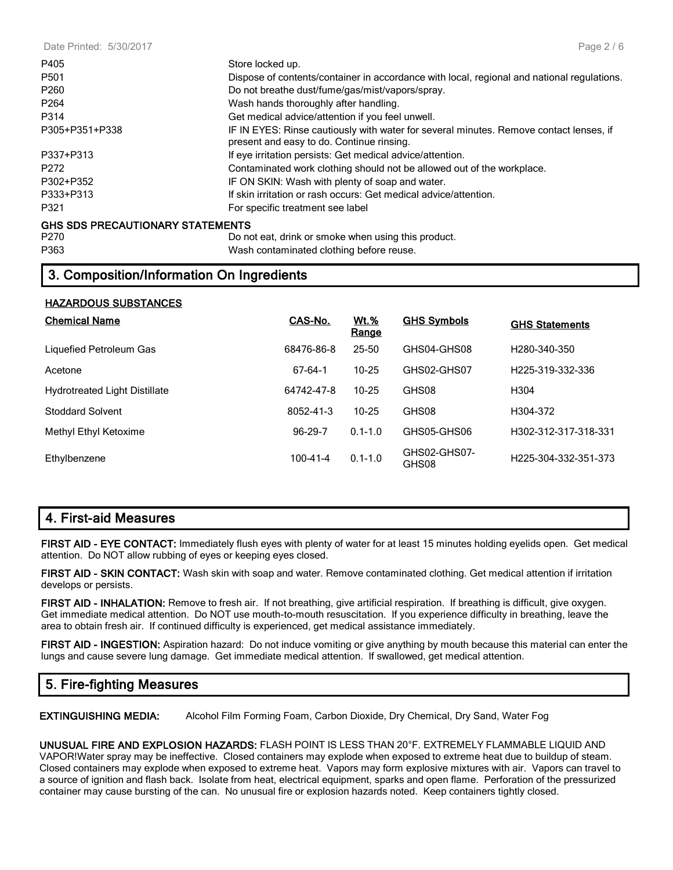| Store locked up.                                                                                                                    |
|-------------------------------------------------------------------------------------------------------------------------------------|
| Dispose of contents/container in accordance with local, regional and national regulations.                                          |
| Do not breathe dust/fume/gas/mist/vapors/spray.                                                                                     |
| Wash hands thoroughly after handling.                                                                                               |
| Get medical advice/attention if you feel unwell.                                                                                    |
| IF IN EYES: Rinse cautiously with water for several minutes. Remove contact lenses, if<br>present and easy to do. Continue rinsing. |
| If eye irritation persists: Get medical advice/attention.                                                                           |
| Contaminated work clothing should not be allowed out of the workplace.                                                              |
| IF ON SKIN: Wash with plenty of soap and water.                                                                                     |
| If skin irritation or rash occurs: Get medical advice/attention.                                                                    |
| For specific treatment see label                                                                                                    |
| <b>GHS SDS PRECAUTIONARY STATEMENTS</b>                                                                                             |
|                                                                                                                                     |

P270 Do not eat, drink or smoke when using this product. P363 Wash contaminated clothing before reuse.

#### **3. Composition/Information On Ingredients**

#### **HAZARDOUS SUBSTANCES**

| <b>Chemical Name</b>                 | CAS-No.        | <b>Wt.%</b><br>Range | <b>GHS Symbols</b>    | <b>GHS Statements</b>             |
|--------------------------------------|----------------|----------------------|-----------------------|-----------------------------------|
| Liquefied Petroleum Gas              | 68476-86-8     | 25-50                | GHS04-GHS08           | H <sub>280</sub> -340-350         |
| Acetone                              | 67-64-1        | $10 - 25$            | GHS02-GHS07           | H <sub>225</sub> -319-332-336     |
| <b>Hydrotreated Light Distillate</b> | 64742-47-8     | $10 - 25$            | GHS08                 | H304                              |
| <b>Stoddard Solvent</b>              | 8052-41-3      | 10-25                | GHS08                 | H304-372                          |
| Methyl Ethyl Ketoxime                | 96-29-7        | $0.1 - 1.0$          | GHS05-GHS06           | H302-312-317-318-331              |
| Ethylbenzene                         | $100 - 41 - 4$ | $0.1 - 1.0$          | GHS02-GHS07-<br>GHS08 | H <sub>225</sub> -304-332-351-373 |

#### **4. First-aid Measures**

**FIRST AID - EYE CONTACT:** Immediately flush eyes with plenty of water for at least 15 minutes holding eyelids open. Get medical attention. Do NOT allow rubbing of eyes or keeping eyes closed.

**FIRST AID - SKIN CONTACT:** Wash skin with soap and water. Remove contaminated clothing. Get medical attention if irritation develops or persists.

**FIRST AID - INHALATION:** Remove to fresh air. If not breathing, give artificial respiration. If breathing is difficult, give oxygen. Get immediate medical attention. Do NOT use mouth-to-mouth resuscitation. If you experience difficulty in breathing, leave the area to obtain fresh air. If continued difficulty is experienced, get medical assistance immediately.

**FIRST AID - INGESTION:** Aspiration hazard: Do not induce vomiting or give anything by mouth because this material can enter the lungs and cause severe lung damage. Get immediate medical attention. If swallowed, get medical attention.

#### **5. Fire-fighting Measures**

**EXTINGUISHING MEDIA:** Alcohol Film Forming Foam, Carbon Dioxide, Dry Chemical, Dry Sand, Water Fog

**UNUSUAL FIRE AND EXPLOSION HAZARDS:** FLASH POINT IS LESS THAN 20°F. EXTREMELY FLAMMABLE LIQUID AND VAPOR!Water spray may be ineffective. Closed containers may explode when exposed to extreme heat due to buildup of steam. Closed containers may explode when exposed to extreme heat. Vapors may form explosive mixtures with air. Vapors can travel to a source of ignition and flash back. Isolate from heat, electrical equipment, sparks and open flame. Perforation of the pressurized container may cause bursting of the can. No unusual fire or explosion hazards noted. Keep containers tightly closed.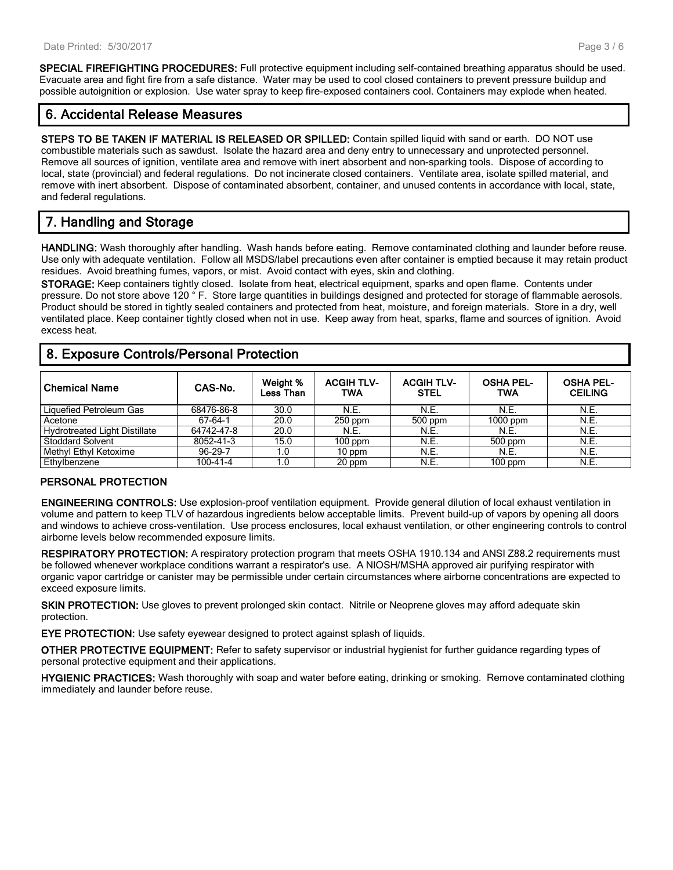**SPECIAL FIREFIGHTING PROCEDURES:** Full protective equipment including self-contained breathing apparatus should be used. Evacuate area and fight fire from a safe distance. Water may be used to cool closed containers to prevent pressure buildup and possible autoignition or explosion. Use water spray to keep fire-exposed containers cool. Containers may explode when heated.

#### **6. Accidental Release Measures**

**STEPS TO BE TAKEN IF MATERIAL IS RELEASED OR SPILLED:** Contain spilled liquid with sand or earth. DO NOT use combustible materials such as sawdust. Isolate the hazard area and deny entry to unnecessary and unprotected personnel. Remove all sources of ignition, ventilate area and remove with inert absorbent and non-sparking tools. Dispose of according to local, state (provincial) and federal regulations. Do not incinerate closed containers. Ventilate area, isolate spilled material, and remove with inert absorbent. Dispose of contaminated absorbent, container, and unused contents in accordance with local, state, and federal regulations.

## **7. Handling and Storage**

**HANDLING:** Wash thoroughly after handling. Wash hands before eating. Remove contaminated clothing and launder before reuse. Use only with adequate ventilation. Follow all MSDS/label precautions even after container is emptied because it may retain product residues. Avoid breathing fumes, vapors, or mist. Avoid contact with eyes, skin and clothing.

**STORAGE:** Keep containers tightly closed. Isolate from heat, electrical equipment, sparks and open flame. Contents under pressure. Do not store above 120 ° F. Store large quantities in buildings designed and protected for storage of flammable aerosols. Product should be stored in tightly sealed containers and protected from heat, moisture, and foreign materials. Store in a dry, well ventilated place. Keep container tightly closed when not in use. Keep away from heat, sparks, flame and sources of ignition. Avoid excess heat.

#### **Chemical Name CAS-No. Weight % Less Than ACGIH TLV-TWA ACGIH TLV-STEL OSHA PEL-TWA OSHA PEL-CEILING** Liquefied Petroleum Gas 68476-86-8 30.0 N.E. N.E. N.E. N.E. Acetone 67-64-1 20.0 250 ppm 500 ppm 1000 ppm N.E. Hydrotreated Light Distillate 64742-47-8 20.0 N.E. N.E. N.E. N.E. Stoddard Solvent 8052-41-3 15.0 100 ppm N.E. 500 ppm N.E.<br>
Methyl Ethyl Ketoxime 96-29-7 1.0 10 ppm N.E. N.E. N.E. N.E. Methyl Ethyl Ketoxime 96-29-7 1.0 10 ppm N.E. N.E. N.E. Ethylbenzene | 100-41-4 | 1.0 | 20 ppm | N.E. | 100 ppm | N.E.

#### **8. Exposure Controls/Personal Protection**

#### **PERSONAL PROTECTION**

**ENGINEERING CONTROLS:** Use explosion-proof ventilation equipment. Provide general dilution of local exhaust ventilation in volume and pattern to keep TLV of hazardous ingredients below acceptable limits. Prevent build-up of vapors by opening all doors and windows to achieve cross-ventilation. Use process enclosures, local exhaust ventilation, or other engineering controls to control airborne levels below recommended exposure limits.

**RESPIRATORY PROTECTION:** A respiratory protection program that meets OSHA 1910.134 and ANSI Z88.2 requirements must be followed whenever workplace conditions warrant a respirator's use. A NIOSH/MSHA approved air purifying respirator with organic vapor cartridge or canister may be permissible under certain circumstances where airborne concentrations are expected to exceed exposure limits.

**SKIN PROTECTION:** Use gloves to prevent prolonged skin contact. Nitrile or Neoprene gloves may afford adequate skin protection.

**EYE PROTECTION:** Use safety eyewear designed to protect against splash of liquids.

**OTHER PROTECTIVE EQUIPMENT:** Refer to safety supervisor or industrial hygienist for further guidance regarding types of personal protective equipment and their applications.

**HYGIENIC PRACTICES:** Wash thoroughly with soap and water before eating, drinking or smoking. Remove contaminated clothing immediately and launder before reuse.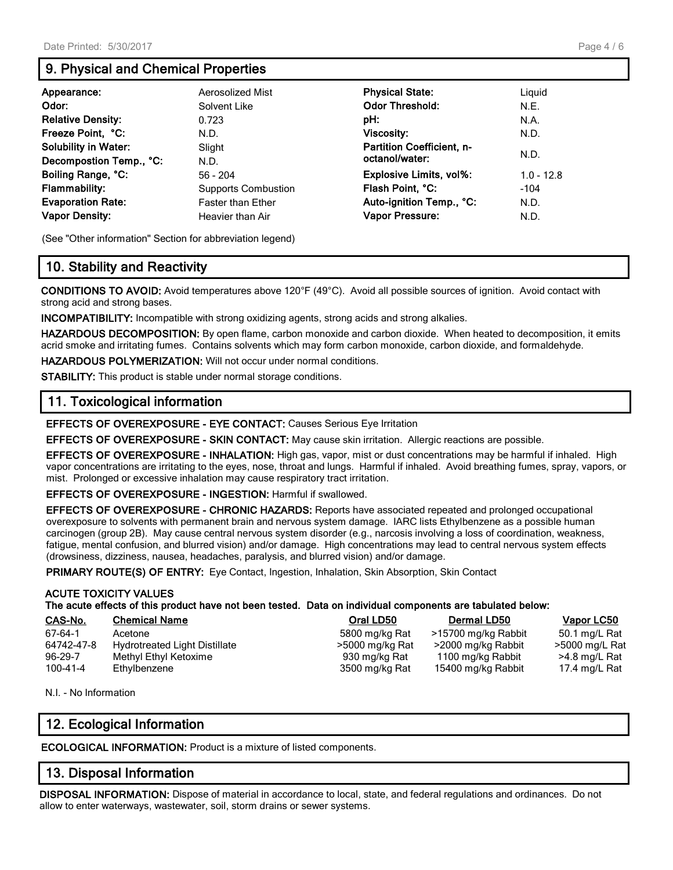### **9. Physical and Chemical Properties**

| Appearance:<br>Odor:<br><b>Relative Density:</b><br>Freeze Point, °C:<br><b>Solubility in Water:</b>                       | Aerosolized Mist<br>Solvent Like<br>0.723<br>N.D.<br>Slight                                      | <b>Physical State:</b><br><b>Odor Threshold:</b><br>pH:<br><b>Viscosity:</b><br><b>Partition Coefficient, n-</b><br>octanol/water: | Liquid<br>N.E.<br>N.A.<br>N.D.<br>N.D. |
|----------------------------------------------------------------------------------------------------------------------------|--------------------------------------------------------------------------------------------------|------------------------------------------------------------------------------------------------------------------------------------|----------------------------------------|
| Decompostion Temp., °C:<br>Boiling Range, °C:<br><b>Flammability:</b><br><b>Evaporation Rate:</b><br><b>Vapor Density:</b> | N.D.<br>$56 - 204$<br><b>Supports Combustion</b><br><b>Faster than Ether</b><br>Heavier than Air | Explosive Limits, vol%:<br>Flash Point, °C:<br>Auto-ignition Temp., °C:<br><b>Vapor Pressure:</b>                                  | $1.0 - 12.8$<br>$-104$<br>N.D.<br>N.D. |

(See "Other information" Section for abbreviation legend)

#### **10. Stability and Reactivity**

**CONDITIONS TO AVOID:** Avoid temperatures above 120°F (49°C). Avoid all possible sources of ignition. Avoid contact with strong acid and strong bases.

**INCOMPATIBILITY:** Incompatible with strong oxidizing agents, strong acids and strong alkalies.

**HAZARDOUS DECOMPOSITION:** By open flame, carbon monoxide and carbon dioxide. When heated to decomposition, it emits acrid smoke and irritating fumes. Contains solvents which may form carbon monoxide, carbon dioxide, and formaldehyde.

**HAZARDOUS POLYMERIZATION:** Will not occur under normal conditions.

**STABILITY:** This product is stable under normal storage conditions.

#### **11. Toxicological information**

**EFFECTS OF OVEREXPOSURE - EYE CONTACT:** Causes Serious Eye Irritation

**EFFECTS OF OVEREXPOSURE - SKIN CONTACT:** May cause skin irritation. Allergic reactions are possible.

**EFFECTS OF OVEREXPOSURE - INHALATION:** High gas, vapor, mist or dust concentrations may be harmful if inhaled. High vapor concentrations are irritating to the eyes, nose, throat and lungs. Harmful if inhaled. Avoid breathing fumes, spray, vapors, or mist. Prolonged or excessive inhalation may cause respiratory tract irritation.

**EFFECTS OF OVEREXPOSURE - INGESTION:** Harmful if swallowed.

**EFFECTS OF OVEREXPOSURE - CHRONIC HAZARDS:** Reports have associated repeated and prolonged occupational overexposure to solvents with permanent brain and nervous system damage. IARC lists Ethylbenzene as a possible human carcinogen (group 2B). May cause central nervous system disorder (e.g., narcosis involving a loss of coordination, weakness, fatigue, mental confusion, and blurred vision) and/or damage. High concentrations may lead to central nervous system effects (drowsiness, dizziness, nausea, headaches, paralysis, and blurred vision) and/or damage.

PRIMARY ROUTE(S) OF ENTRY: Eye Contact, Ingestion, Inhalation, Skin Absorption, Skin Contact

#### **ACUTE TOXICITY VALUES**

**The acute effects of this product have not been tested. Data on individual components are tabulated below:**

| CAS-No.        | <b>Chemical Name</b>                 | Oral LD50       | Dermal LD50         | Vapor LC50     |
|----------------|--------------------------------------|-----------------|---------------------|----------------|
| 67-64-1        | Acetone                              | 5800 mg/kg Rat  | >15700 mg/kg Rabbit | 50.1 mg/L Rat  |
| 64742-47-8     | <b>Hydrotreated Light Distillate</b> | >5000 mg/kg Rat | >2000 mg/kg Rabbit  | >5000 mg/L Rat |
| $96 - 29 - 7$  | Methyl Ethyl Ketoxime                | 930 mg/kg Rat   | 1100 mg/kg Rabbit   | >4.8 mg/L Rat  |
| $100 - 41 - 4$ | Ethylbenzene                         | 3500 mg/kg Rat  | 15400 mg/kg Rabbit  | 17.4 mg/L Rat  |

N.I. - No Information

#### **12. Ecological Information**

**ECOLOGICAL INFORMATION:** Product is a mixture of listed components.

#### **13. Disposal Information**

**DISPOSAL INFORMATION:** Dispose of material in accordance to local, state, and federal regulations and ordinances. Do not allow to enter waterways, wastewater, soil, storm drains or sewer systems.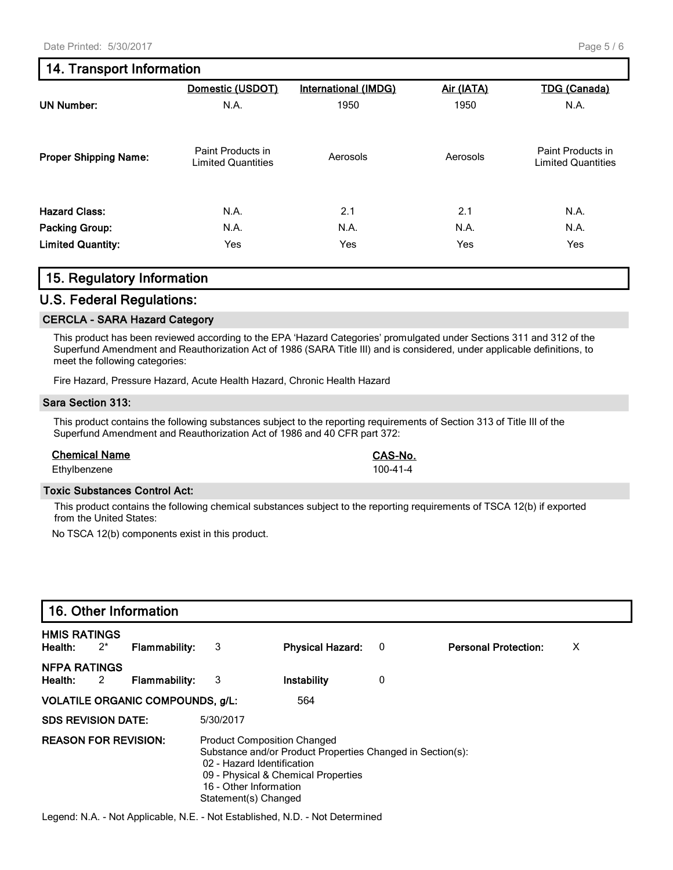#### **14. Transport Information**

|                              | Domestic (USDOT)                               | <b>International (IMDG)</b> | Air (IATA) | <b>TDG (Canada)</b>                            |
|------------------------------|------------------------------------------------|-----------------------------|------------|------------------------------------------------|
| <b>UN Number:</b>            | N.A.                                           | 1950                        | 1950       | N.A.                                           |
| <b>Proper Shipping Name:</b> | Paint Products in<br><b>Limited Quantities</b> | Aerosols                    | Aerosols   | Paint Products in<br><b>Limited Quantities</b> |
| <b>Hazard Class:</b>         | N.A.                                           | 2.1                         | 2.1        | N.A.                                           |
| <b>Packing Group:</b>        | N.A.                                           | N.A.                        | N.A.       | N.A.                                           |
| <b>Limited Quantity:</b>     | Yes                                            | Yes                         | Yes        | <b>Yes</b>                                     |

#### **15. Regulatory Information**

#### **U.S. Federal Regulations:**

#### **CERCLA - SARA Hazard Category**

This product has been reviewed according to the EPA 'Hazard Categories' promulgated under Sections 311 and 312 of the Superfund Amendment and Reauthorization Act of 1986 (SARA Title III) and is considered, under applicable definitions, to meet the following categories:

Fire Hazard, Pressure Hazard, Acute Health Hazard, Chronic Health Hazard

#### **Sara Section 313:**

This product contains the following substances subject to the reporting requirements of Section 313 of Title III of the Superfund Amendment and Reauthorization Act of 1986 and 40 CFR part 372:

#### **Chemical Name CAS-No.**

Ethylbenzene 100-41-4

#### **Toxic Substances Control Act:**

This product contains the following chemical substances subject to the reporting requirements of TSCA 12(b) if exported from the United States:

No TSCA 12(b) components exist in this product.

|                                  |       | 16. Other Information                   |                                                                              |                                                                                                                                         |   |                             |   |  |
|----------------------------------|-------|-----------------------------------------|------------------------------------------------------------------------------|-----------------------------------------------------------------------------------------------------------------------------------------|---|-----------------------------|---|--|
| <b>HMIS RATINGS</b><br>Health:   | $2^*$ | <b>Flammability:</b>                    | 3                                                                            | <b>Physical Hazard:</b>                                                                                                                 | 0 | <b>Personal Protection:</b> | х |  |
| <b>NFPA RATINGS</b><br>Health: 2 |       | <b>Flammability:</b>                    | -3                                                                           | Instability                                                                                                                             | 0 |                             |   |  |
|                                  |       | <b>VOLATILE ORGANIC COMPOUNDS, g/L:</b> |                                                                              | 564                                                                                                                                     |   |                             |   |  |
| <b>SDS REVISION DATE:</b>        |       |                                         | 5/30/2017                                                                    |                                                                                                                                         |   |                             |   |  |
| <b>REASON FOR REVISION:</b>      |       |                                         | 02 - Hazard Identification<br>16 - Other Information<br>Statement(s) Changed | <b>Product Composition Changed</b><br>Substance and/or Product Properties Changed in Section(s):<br>09 - Physical & Chemical Properties |   |                             |   |  |